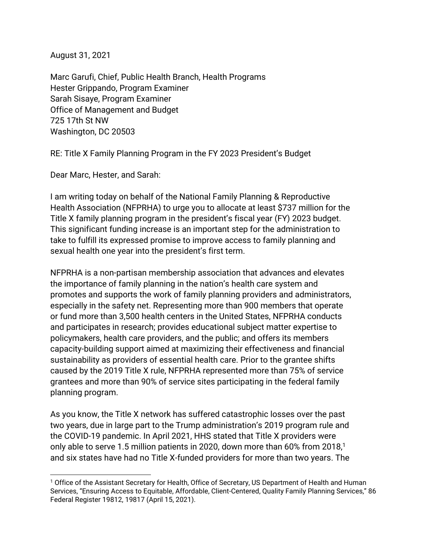August 31, 2021

Marc Garufi, Chief, Public Health Branch, Health Programs Hester Grippando, Program Examiner Sarah Sisaye, Program Examiner Office of Management and Budget 725 17th St NW Washington, DC 20503

RE: Title X Family Planning Program in the FY 2023 President's Budget

Dear Marc, Hester, and Sarah:

I am writing today on behalf of the National Family Planning & Reproductive Health Association (NFPRHA) to urge you to allocate at least \$737 million for the Title X family planning program in the president's fiscal year (FY) 2023 budget. This significant funding increase is an important step for the administration to take to fulfill its expressed promise to improve access to family planning and sexual health one year into the president's first term.

NFPRHA is a non-partisan membership association that advances and elevates the importance of family planning in the nation's health care system and promotes and supports the work of family planning providers and administrators, especially in the safety net. Representing more than 900 members that operate or fund more than 3,500 health centers in the United States, NFPRHA conducts and participates in research; provides educational subject matter expertise to policymakers, health care providers, and the public; and offers its members capacity-building support aimed at maximizing their effectiveness and financial sustainability as providers of essential health care. Prior to the grantee shifts caused by the 2019 Title X rule, NFPRHA represented more than 75% of service grantees and more than 90% of service sites participating in the federal family planning program.

As you know, the Title X network has suffered catastrophic losses over the past two years, due in large part to the Trump administration's 2019 program rule and the COVID-19 pandemic. In April 2021, HHS stated that Title X providers were only able to serve 1.5 million patients in 2020, down more than 60% from 2018,<sup>1</sup> and six states have had no Title X-funded providers for more than two years. The

<sup>&</sup>lt;sup>1</sup> Office of the Assistant Secretary for Health, Office of Secretary, US Department of Health and Human Services, "Ensuring Access to Equitable, Affordable, Client-Centered, Quality Family Planning Services," 86 Federal Register 19812, 19817 (April 15, 2021).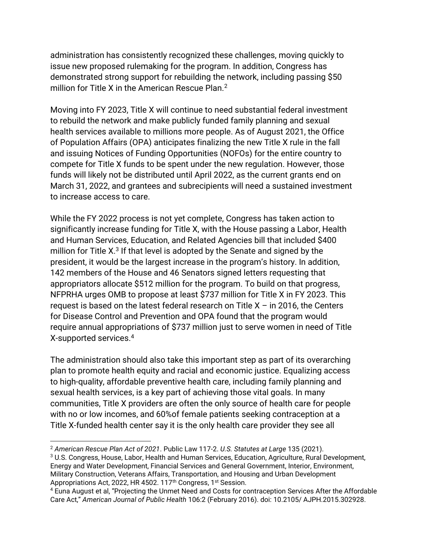administration has consistently recognized these challenges, moving quickly to issue new proposed rulemaking for the program. In addition, Congress has demonstrated strong support for rebuilding the network, including passing \$50 million for Title X in the American Rescue Plan.<sup>2</sup>

Moving into FY 2023, Title X will continue to need substantial federal investment to rebuild the network and make publicly funded family planning and sexual health services available to millions more people. As of August 2021, the Office of Population Affairs (OPA) anticipates finalizing the new Title X rule in the fall and issuing Notices of Funding Opportunities (NOFOs) for the entire country to compete for Title X funds to be spent under the new regulation. However, those funds will likely not be distributed until April 2022, as the current grants end on March 31, 2022, and grantees and subrecipients will need a sustained investment to increase access to care.

While the FY 2022 process is not yet complete, Congress has taken action to significantly increase funding for Title X, with the House passing a Labor, Health and Human Services, Education, and Related Agencies bill that included \$400 million for Title X. $3$  If that level is adopted by the Senate and signed by the president, it would be the largest increase in the program's history. In addition, 142 members of the House and 46 Senators signed letters requesting that appropriators allocate \$512 million for the program. To build on that progress, NFPRHA urges OMB to propose at least \$737 million for Title X in FY 2023. This request is based on the latest federal research on Title  $X - in 2016$ , the Centers for Disease Control and Prevention and OPA found that the program would require annual appropriations of \$737 million just to serve women in need of Title X-supported services.<sup>4</sup>

The administration should also take this important step as part of its overarching plan to promote health equity and racial and economic justice. Equalizing access to high-quality, affordable preventive health care, including family planning and sexual health services, is a key part of achieving those vital goals. In many communities, Title X providers are often the only source of health care for people with no or low incomes, and 60%of female patients seeking contraception at a Title X-funded health center say it is the only health care provider they see all

<sup>3</sup> U.S. Congress, House, Labor, Health and Human Services, Education, Agriculture, Rural Development, Energy and Water Development, Financial Services and General Government, Interior, Environment, Military Construction, Veterans Affairs, Transportation, and Housing and Urban Development Appropriations Act, 2022, HR 4502. 117<sup>th</sup> Congress, 1<sup>st</sup> Session.

<sup>2</sup> *American Rescue Plan Act of 2021*. Public Law 117-2. *U.S. Statutes at Large* 135 (2021).

<sup>4</sup> Euna August et al, "Projecting the Unmet Need and Costs for contraception Services After the Affordable Care Act," *American Journal of Public Health* 106:2 (February 2016). doi: 10.2105/ AJPH.2015.302928.